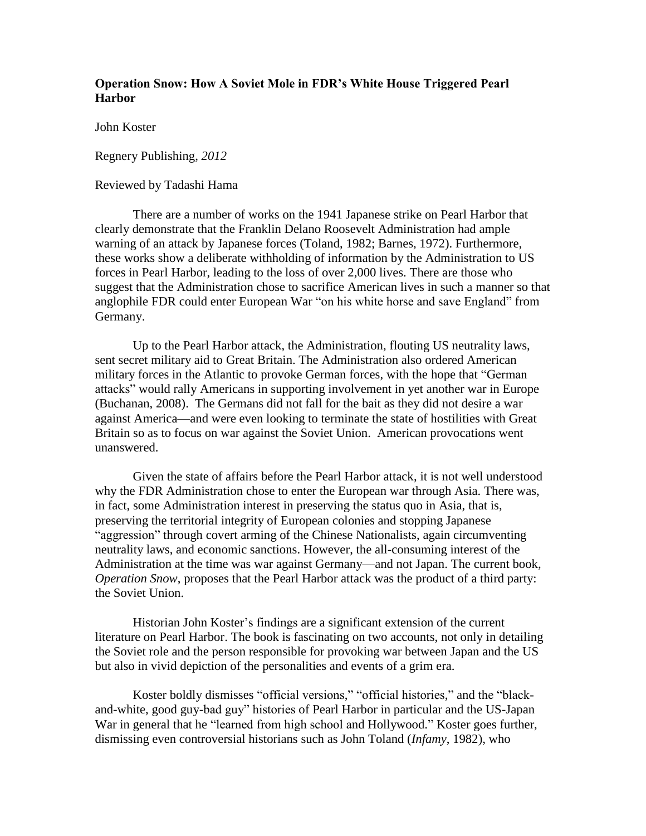## **Operation Snow: How A Soviet Mole in FDR's White House Triggered Pearl Harbor**

John Koster

Regnery Publishing, *2012*

### Reviewed by Tadashi Hama

There are a number of works on the 1941 Japanese strike on Pearl Harbor that clearly demonstrate that the Franklin Delano Roosevelt Administration had ample warning of an attack by Japanese forces (Toland, 1982; Barnes, 1972). Furthermore, these works show a deliberate withholding of information by the Administration to US forces in Pearl Harbor, leading to the loss of over 2,000 lives. There are those who suggest that the Administration chose to sacrifice American lives in such a manner so that anglophile FDR could enter European War "on his white horse and save England" from Germany.

Up to the Pearl Harbor attack, the Administration, flouting US neutrality laws, sent secret military aid to Great Britain. The Administration also ordered American military forces in the Atlantic to provoke German forces, with the hope that "German attacks" would rally Americans in supporting involvement in yet another war in Europe (Buchanan, 2008). The Germans did not fall for the bait as they did not desire a war against America—and were even looking to terminate the state of hostilities with Great Britain so as to focus on war against the Soviet Union. American provocations went unanswered.

Given the state of affairs before the Pearl Harbor attack, it is not well understood why the FDR Administration chose to enter the European war through Asia. There was, in fact, some Administration interest in preserving the status quo in Asia, that is, preserving the territorial integrity of European colonies and stopping Japanese "aggression" through covert arming of the Chinese Nationalists, again circumventing neutrality laws, and economic sanctions. However, the all-consuming interest of the Administration at the time was war against Germany—and not Japan. The current book, *Operation Snow*, proposes that the Pearl Harbor attack was the product of a third party: the Soviet Union.

Historian John Koster's findings are a significant extension of the current literature on Pearl Harbor. The book is fascinating on two accounts, not only in detailing the Soviet role and the person responsible for provoking war between Japan and the US but also in vivid depiction of the personalities and events of a grim era.

Koster boldly dismisses "official versions," "official histories," and the "blackand-white, good guy-bad guy" histories of Pearl Harbor in particular and the US-Japan War in general that he "learned from high school and Hollywood." Koster goes further, dismissing even controversial historians such as John Toland (*Infamy*, 1982), who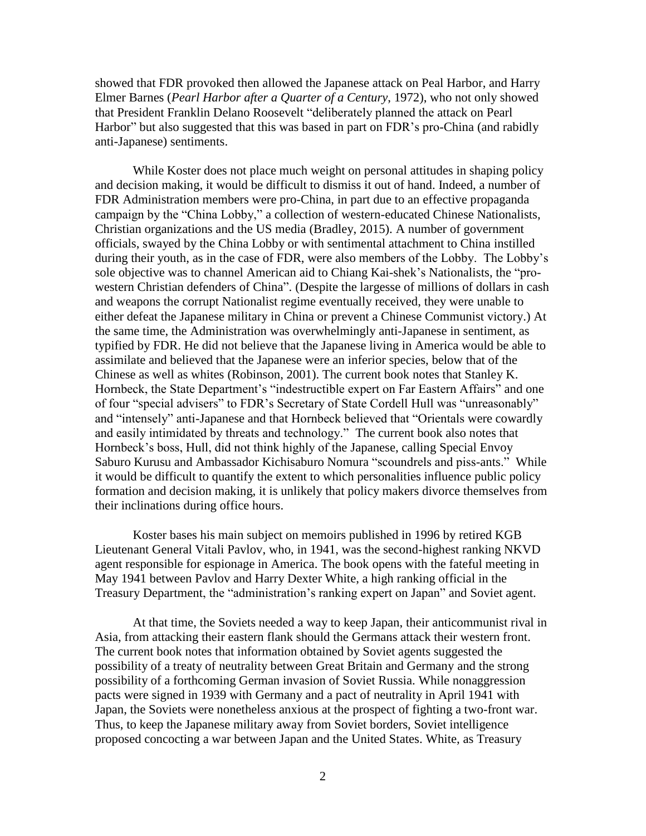showed that FDR provoked then allowed the Japanese attack on Peal Harbor, and Harry Elmer Barnes (*Pearl Harbor after a Quarter of a Century*, 1972), who not only showed that President Franklin Delano Roosevelt "deliberately planned the attack on Pearl Harbor" but also suggested that this was based in part on FDR's pro-China (and rabidly anti-Japanese) sentiments.

While Koster does not place much weight on personal attitudes in shaping policy and decision making, it would be difficult to dismiss it out of hand. Indeed, a number of FDR Administration members were pro-China, in part due to an effective propaganda campaign by the "China Lobby," a collection of western-educated Chinese Nationalists, Christian organizations and the US media (Bradley, 2015). A number of government officials, swayed by the China Lobby or with sentimental attachment to China instilled during their youth, as in the case of FDR, were also members of the Lobby. The Lobby's sole objective was to channel American aid to Chiang Kai-shek's Nationalists, the "prowestern Christian defenders of China". (Despite the largesse of millions of dollars in cash and weapons the corrupt Nationalist regime eventually received, they were unable to either defeat the Japanese military in China or prevent a Chinese Communist victory.) At the same time, the Administration was overwhelmingly anti-Japanese in sentiment, as typified by FDR. He did not believe that the Japanese living in America would be able to assimilate and believed that the Japanese were an inferior species, below that of the Chinese as well as whites (Robinson, 2001). The current book notes that Stanley K. Hornbeck, the State Department's "indestructible expert on Far Eastern Affairs" and one of four "special advisers" to FDR's Secretary of State Cordell Hull was "unreasonably" and "intensely" anti-Japanese and that Hornbeck believed that "Orientals were cowardly and easily intimidated by threats and technology." The current book also notes that Hornbeck's boss, Hull, did not think highly of the Japanese, calling Special Envoy Saburo Kurusu and Ambassador Kichisaburo Nomura "scoundrels and piss-ants." While it would be difficult to quantify the extent to which personalities influence public policy formation and decision making, it is unlikely that policy makers divorce themselves from their inclinations during office hours.

Koster bases his main subject on memoirs published in 1996 by retired KGB Lieutenant General Vitali Pavlov, who, in 1941, was the second-highest ranking NKVD agent responsible for espionage in America. The book opens with the fateful meeting in May 1941 between Pavlov and Harry Dexter White, a high ranking official in the Treasury Department, the "administration's ranking expert on Japan" and Soviet agent.

At that time, the Soviets needed a way to keep Japan, their anticommunist rival in Asia, from attacking their eastern flank should the Germans attack their western front. The current book notes that information obtained by Soviet agents suggested the possibility of a treaty of neutrality between Great Britain and Germany and the strong possibility of a forthcoming German invasion of Soviet Russia. While nonaggression pacts were signed in 1939 with Germany and a pact of neutrality in April 1941 with Japan, the Soviets were nonetheless anxious at the prospect of fighting a two-front war. Thus, to keep the Japanese military away from Soviet borders, Soviet intelligence proposed concocting a war between Japan and the United States. White, as Treasury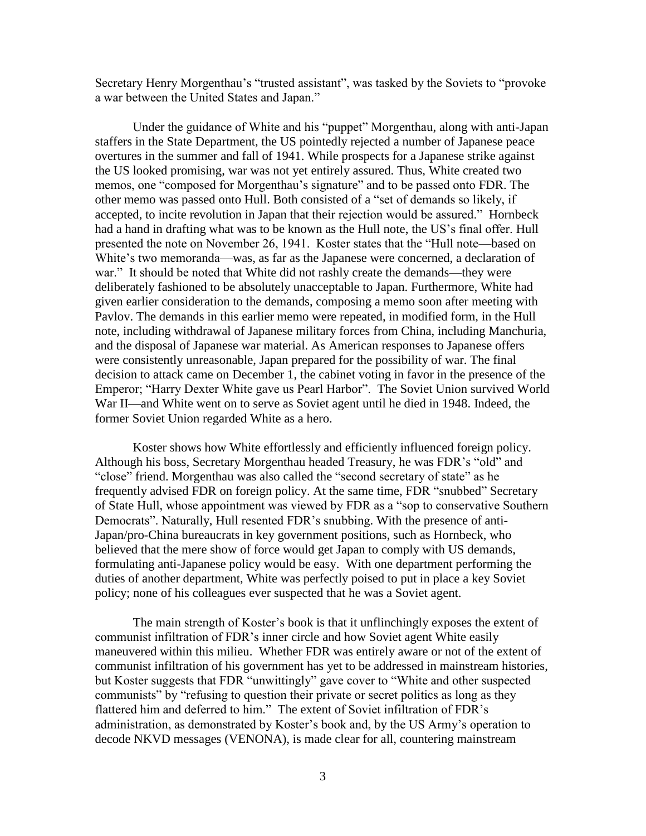Secretary Henry Morgenthau's "trusted assistant", was tasked by the Soviets to "provoke a war between the United States and Japan."

Under the guidance of White and his "puppet" Morgenthau, along with anti-Japan staffers in the State Department, the US pointedly rejected a number of Japanese peace overtures in the summer and fall of 1941. While prospects for a Japanese strike against the US looked promising, war was not yet entirely assured. Thus, White created two memos, one "composed for Morgenthau's signature" and to be passed onto FDR. The other memo was passed onto Hull. Both consisted of a "set of demands so likely, if accepted, to incite revolution in Japan that their rejection would be assured." Hornbeck had a hand in drafting what was to be known as the Hull note, the US's final offer. Hull presented the note on November 26, 1941. Koster states that the "Hull note—based on White's two memoranda—was, as far as the Japanese were concerned, a declaration of war." It should be noted that White did not rashly create the demands—they were deliberately fashioned to be absolutely unacceptable to Japan. Furthermore, White had given earlier consideration to the demands, composing a memo soon after meeting with Pavlov. The demands in this earlier memo were repeated, in modified form, in the Hull note, including withdrawal of Japanese military forces from China, including Manchuria, and the disposal of Japanese war material. As American responses to Japanese offers were consistently unreasonable, Japan prepared for the possibility of war. The final decision to attack came on December 1, the cabinet voting in favor in the presence of the Emperor; "Harry Dexter White gave us Pearl Harbor". The Soviet Union survived World War II—and White went on to serve as Soviet agent until he died in 1948. Indeed, the former Soviet Union regarded White as a hero.

Koster shows how White effortlessly and efficiently influenced foreign policy. Although his boss, Secretary Morgenthau headed Treasury, he was FDR's "old" and "close" friend. Morgenthau was also called the "second secretary of state" as he frequently advised FDR on foreign policy. At the same time, FDR "snubbed" Secretary of State Hull, whose appointment was viewed by FDR as a "sop to conservative Southern Democrats". Naturally, Hull resented FDR's snubbing. With the presence of anti-Japan/pro-China bureaucrats in key government positions, such as Hornbeck, who believed that the mere show of force would get Japan to comply with US demands, formulating anti-Japanese policy would be easy. With one department performing the duties of another department, White was perfectly poised to put in place a key Soviet policy; none of his colleagues ever suspected that he was a Soviet agent.

The main strength of Koster's book is that it unflinchingly exposes the extent of communist infiltration of FDR's inner circle and how Soviet agent White easily maneuvered within this milieu. Whether FDR was entirely aware or not of the extent of communist infiltration of his government has yet to be addressed in mainstream histories, but Koster suggests that FDR "unwittingly" gave cover to "White and other suspected communists" by "refusing to question their private or secret politics as long as they flattered him and deferred to him." The extent of Soviet infiltration of FDR's administration, as demonstrated by Koster's book and, by the US Army's operation to decode NKVD messages (VENONA), is made clear for all, countering mainstream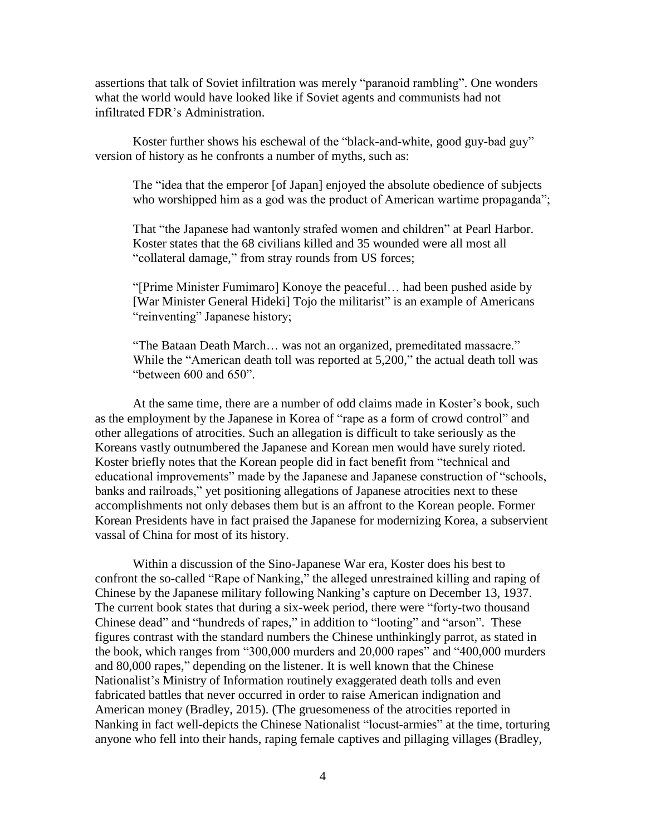assertions that talk of Soviet infiltration was merely "paranoid rambling". One wonders what the world would have looked like if Soviet agents and communists had not infiltrated FDR's Administration.

Koster further shows his eschewal of the "black-and-white, good guy-bad guy" version of history as he confronts a number of myths, such as:

The "idea that the emperor [of Japan] enjoyed the absolute obedience of subjects who worshipped him as a god was the product of American wartime propaganda";

That "the Japanese had wantonly strafed women and children" at Pearl Harbor. Koster states that the 68 civilians killed and 35 wounded were all most all "collateral damage," from stray rounds from US forces;

"[Prime Minister Fumimaro] Konoye the peaceful… had been pushed aside by [War Minister General Hideki] Tojo the militarist" is an example of Americans "reinventing" Japanese history;

"The Bataan Death March… was not an organized, premeditated massacre." While the "American death toll was reported at 5,200," the actual death toll was "between 600 and 650".

At the same time, there are a number of odd claims made in Koster's book, such as the employment by the Japanese in Korea of "rape as a form of crowd control" and other allegations of atrocities. Such an allegation is difficult to take seriously as the Koreans vastly outnumbered the Japanese and Korean men would have surely rioted. Koster briefly notes that the Korean people did in fact benefit from "technical and educational improvements" made by the Japanese and Japanese construction of "schools, banks and railroads," yet positioning allegations of Japanese atrocities next to these accomplishments not only debases them but is an affront to the Korean people. Former Korean Presidents have in fact praised the Japanese for modernizing Korea, a subservient vassal of China for most of its history.

Within a discussion of the Sino-Japanese War era, Koster does his best to confront the so-called "Rape of Nanking," the alleged unrestrained killing and raping of Chinese by the Japanese military following Nanking's capture on December 13, 1937. The current book states that during a six-week period, there were "forty-two thousand Chinese dead" and "hundreds of rapes," in addition to "looting" and "arson". These figures contrast with the standard numbers the Chinese unthinkingly parrot, as stated in the book, which ranges from "300,000 murders and 20,000 rapes" and "400,000 murders and 80,000 rapes," depending on the listener. It is well known that the Chinese Nationalist's Ministry of Information routinely exaggerated death tolls and even fabricated battles that never occurred in order to raise American indignation and American money (Bradley, 2015). (The gruesomeness of the atrocities reported in Nanking in fact well-depicts the Chinese Nationalist "locust-armies" at the time, torturing anyone who fell into their hands, raping female captives and pillaging villages (Bradley,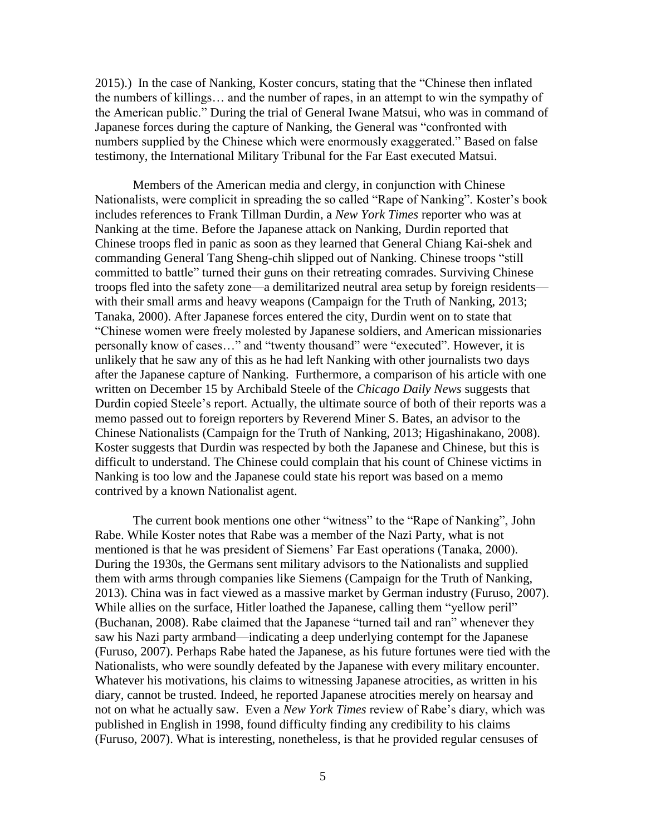2015).) In the case of Nanking, Koster concurs, stating that the "Chinese then inflated the numbers of killings… and the number of rapes, in an attempt to win the sympathy of the American public." During the trial of General Iwane Matsui, who was in command of Japanese forces during the capture of Nanking, the General was "confronted with numbers supplied by the Chinese which were enormously exaggerated." Based on false testimony, the International Military Tribunal for the Far East executed Matsui.

Members of the American media and clergy, in conjunction with Chinese Nationalists, were complicit in spreading the so called "Rape of Nanking". Koster's book includes references to Frank Tillman Durdin, a *New York Times* reporter who was at Nanking at the time. Before the Japanese attack on Nanking, Durdin reported that Chinese troops fled in panic as soon as they learned that General Chiang Kai-shek and commanding General Tang Sheng-chih slipped out of Nanking. Chinese troops "still committed to battle" turned their guns on their retreating comrades. Surviving Chinese troops fled into the safety zone—a demilitarized neutral area setup by foreign residents with their small arms and heavy weapons (Campaign for the Truth of Nanking, 2013; Tanaka, 2000). After Japanese forces entered the city, Durdin went on to state that "Chinese women were freely molested by Japanese soldiers, and American missionaries personally know of cases…" and "twenty thousand" were "executed". However, it is unlikely that he saw any of this as he had left Nanking with other journalists two days after the Japanese capture of Nanking. Furthermore, a comparison of his article with one written on December 15 by Archibald Steele of the *Chicago Daily News* suggests that Durdin copied Steele's report. Actually, the ultimate source of both of their reports was a memo passed out to foreign reporters by Reverend Miner S. Bates, an advisor to the Chinese Nationalists (Campaign for the Truth of Nanking, 2013; Higashinakano, 2008). Koster suggests that Durdin was respected by both the Japanese and Chinese, but this is difficult to understand. The Chinese could complain that his count of Chinese victims in Nanking is too low and the Japanese could state his report was based on a memo contrived by a known Nationalist agent.

The current book mentions one other "witness" to the "Rape of Nanking", John Rabe. While Koster notes that Rabe was a member of the Nazi Party, what is not mentioned is that he was president of Siemens' Far East operations (Tanaka, 2000). During the 1930s, the Germans sent military advisors to the Nationalists and supplied them with arms through companies like Siemens (Campaign for the Truth of Nanking, 2013). China was in fact viewed as a massive market by German industry (Furuso, 2007). While allies on the surface, Hitler loathed the Japanese, calling them "yellow peril" (Buchanan, 2008). Rabe claimed that the Japanese "turned tail and ran" whenever they saw his Nazi party armband—indicating a deep underlying contempt for the Japanese (Furuso, 2007). Perhaps Rabe hated the Japanese, as his future fortunes were tied with the Nationalists, who were soundly defeated by the Japanese with every military encounter. Whatever his motivations, his claims to witnessing Japanese atrocities, as written in his diary, cannot be trusted. Indeed, he reported Japanese atrocities merely on hearsay and not on what he actually saw. Even a *New York Times* review of Rabe's diary, which was published in English in 1998, found difficulty finding any credibility to his claims (Furuso, 2007). What is interesting, nonetheless, is that he provided regular censuses of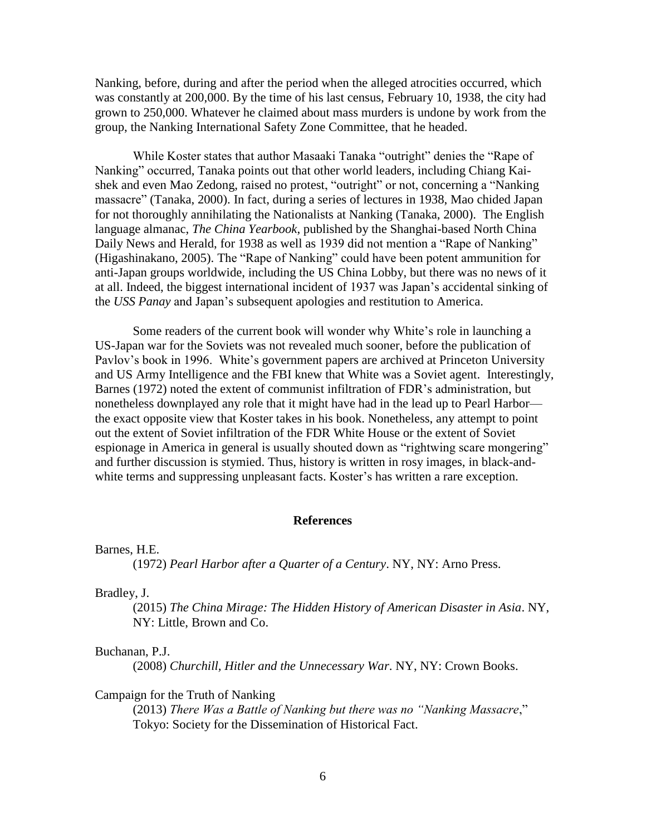Nanking, before, during and after the period when the alleged atrocities occurred, which was constantly at 200,000. By the time of his last census, February 10, 1938, the city had grown to 250,000. Whatever he claimed about mass murders is undone by work from the group, the Nanking International Safety Zone Committee, that he headed.

While Koster states that author Masaaki Tanaka "outright" denies the "Rape of Nanking" occurred, Tanaka points out that other world leaders, including Chiang Kaishek and even Mao Zedong, raised no protest, "outright" or not, concerning a "Nanking massacre" (Tanaka, 2000). In fact, during a series of lectures in 1938, Mao chided Japan for not thoroughly annihilating the Nationalists at Nanking (Tanaka, 2000). The English language almanac, *The China Yearbook*, published by the Shanghai-based North China Daily News and Herald, for 1938 as well as 1939 did not mention a "Rape of Nanking" (Higashinakano, 2005). The "Rape of Nanking" could have been potent ammunition for anti-Japan groups worldwide, including the US China Lobby, but there was no news of it at all. Indeed, the biggest international incident of 1937 was Japan's accidental sinking of the *USS Panay* and Japan's subsequent apologies and restitution to America.

Some readers of the current book will wonder why White's role in launching a US-Japan war for the Soviets was not revealed much sooner, before the publication of Pavlov's book in 1996. White's government papers are archived at Princeton University and US Army Intelligence and the FBI knew that White was a Soviet agent. Interestingly, Barnes (1972) noted the extent of communist infiltration of FDR's administration, but nonetheless downplayed any role that it might have had in the lead up to Pearl Harbor the exact opposite view that Koster takes in his book. Nonetheless, any attempt to point out the extent of Soviet infiltration of the FDR White House or the extent of Soviet espionage in America in general is usually shouted down as "rightwing scare mongering" and further discussion is stymied. Thus, history is written in rosy images, in black-andwhite terms and suppressing unpleasant facts. Koster's has written a rare exception.

#### **References**

Barnes, H.E.

(1972) *Pearl Harbor after a Quarter of a Century*. NY, NY: Arno Press.

Bradley, J.

(2015) *The China Mirage: The Hidden History of American Disaster in Asia*. NY, NY: Little, Brown and Co.

#### Buchanan, P.J.

(2008) *Churchill, Hitler and the Unnecessary War*. NY, NY: Crown Books.

#### Campaign for the Truth of Nanking

(2013) *There Was a Battle of Nanking but there was no "Nanking Massacre*," Tokyo: Society for the Dissemination of Historical Fact.